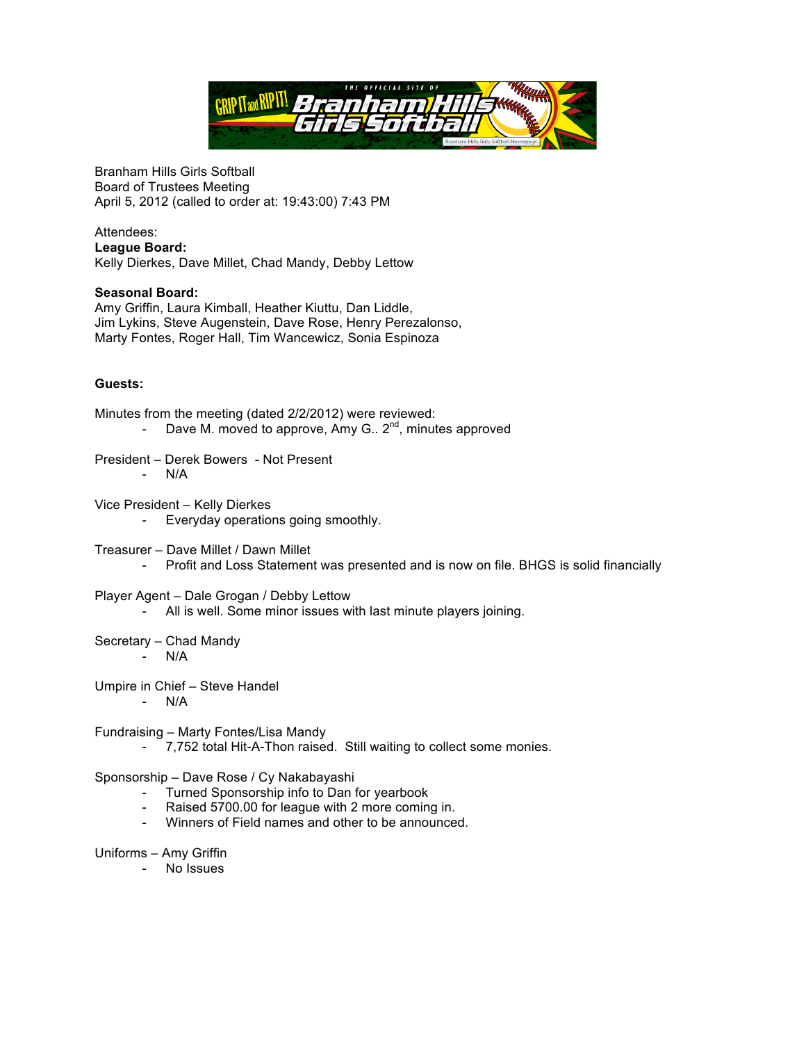

Branham Hills Girls Softball Board of Trustees Meeting April 5, 2012 (called to order at: 19:43:00) 7:43 PM

## Attendees: **League Board:**  Kelly Dierkes, Dave Millet, Chad Mandy, Debby Lettow

## **Seasonal Board:**

Amy Griffin, Laura Kimball, Heather Kiuttu, Dan Liddle, Jim Lykins, Steve Augenstein, Dave Rose, Henry Perezalonso, Marty Fontes, Roger Hall, Tim Wancewicz, Sonia Espinoza

## **Guests:**

- Minutes from the meeting (dated 2/2/2012) were reviewed: - Dave M. moved to approve, Amy G.,  $2^{nd}$ , minutes approved
- President Derek Bowers Not Present - N/A
- Vice President Kelly Dierkes - Everyday operations going smoothly.
- Treasurer Dave Millet / Dawn Millet - Profit and Loss Statement was presented and is now on file. BHGS is solid financially
- Player Agent Dale Grogan / Debby Lettow
	- All is well. Some minor issues with last minute players joining.
- Secretary Chad Mandy
	- N/A
- Umpire in Chief Steve Handel
	- N/A
- Fundraising Marty Fontes/Lisa Mandy
	- 7,752 total Hit-A-Thon raised. Still waiting to collect some monies.

## Sponsorship – Dave Rose / Cy Nakabayashi

- Turned Sponsorship info to Dan for yearbook
- Raised 5700.00 for league with 2 more coming in.
- Winners of Field names and other to be announced.
- Uniforms Amy Griffin
	- No Issues